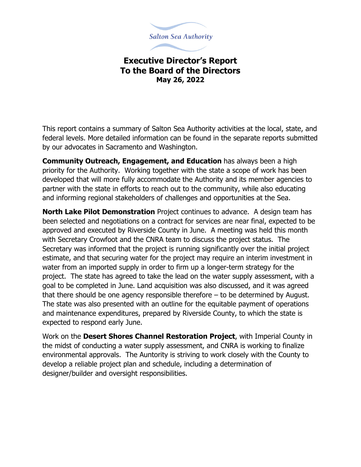

## **Executive Director's Report To the Board of the Directors May 26, 2022**

This report contains a summary of Salton Sea Authority activities at the local, state, and federal levels. More detailed information can be found in the separate reports submitted by our advocates in Sacramento and Washington.

**Community Outreach, Engagement, and Education** has always been a high priority for the Authority. Working together with the state a scope of work has been developed that will more fully accommodate the Authority and its member agencies to partner with the state in efforts to reach out to the community, while also educating and informing regional stakeholders of challenges and opportunities at the Sea.

**North Lake Pilot Demonstration** Project continues to advance. A design team has been selected and negotiations on a contract for services are near final, expected to be approved and executed by Riverside County in June. A meeting was held this month with Secretary Crowfoot and the CNRA team to discuss the project status. The Secretary was informed that the project is running significantly over the initial project estimate, and that securing water for the project may require an interim investment in water from an imported supply in order to firm up a longer-term strategy for the project. The state has agreed to take the lead on the water supply assessment, with a goal to be completed in June. Land acquisition was also discussed, and it was agreed that there should be one agency responsible therefore – to be determined by August. The state was also presented with an outline for the equitable payment of operations and maintenance expenditures, prepared by Riverside County, to which the state is expected to respond early June.

Work on the **Desert Shores Channel Restoration Project**, with Imperial County in the midst of conducting a water supply assessment, and CNRA is working to finalize environmental approvals. The Auntority is striving to work closely with the County to develop a reliable project plan and schedule, including a determination of designer/builder and oversight responsibilities.